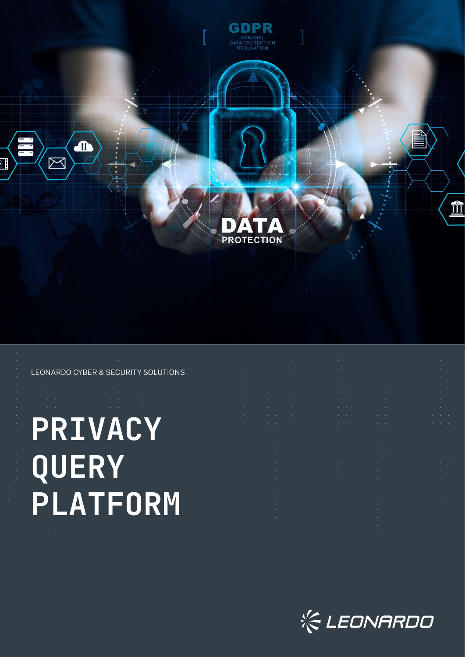

#### LEONARDO CYBER & SECURITY SOLUTIONS

# **PRIVACY QUERY PLATFORM**

|                                                                                                                                                                                                                               |  |  |  |                                                                                                                                                                                                                               |  |  |  |  |                                                                                 |  |  |                                        | the company of the company of the company of the company of the company of the company of the company of the company of the company of the company of the company of the company of the company of the company of the company |
|-------------------------------------------------------------------------------------------------------------------------------------------------------------------------------------------------------------------------------|--|--|--|-------------------------------------------------------------------------------------------------------------------------------------------------------------------------------------------------------------------------------|--|--|--|--|---------------------------------------------------------------------------------|--|--|----------------------------------------|-------------------------------------------------------------------------------------------------------------------------------------------------------------------------------------------------------------------------------|
|                                                                                                                                                                                                                               |  |  |  |                                                                                                                                                                                                                               |  |  |  |  |                                                                                 |  |  |                                        | the contract of the contract of the contract of the contract of the contract of the contract of the contract of                                                                                                               |
|                                                                                                                                                                                                                               |  |  |  |                                                                                                                                                                                                                               |  |  |  |  |                                                                                 |  |  |                                        | the contract of the contract of the contract of the contract of the contract of the contract of the contract of                                                                                                               |
| the contract of the contract of the contract of the contract of the contract of the contract of the contract of                                                                                                               |  |  |  |                                                                                                                                                                                                                               |  |  |  |  |                                                                                 |  |  | $\sim$ 100 $\sim$ 100 $\sim$           |                                                                                                                                                                                                                               |
| the contract of the contract of the contract of the contract of the contract of the contract of the contract of                                                                                                               |  |  |  |                                                                                                                                                                                                                               |  |  |  |  |                                                                                 |  |  | <b>All Card</b>                        |                                                                                                                                                                                                                               |
| the contract of the contract of the contract of the contract of the contract of the contract of the contract of                                                                                                               |  |  |  |                                                                                                                                                                                                                               |  |  |  |  |                                                                                 |  |  | <b>All Cards</b>                       |                                                                                                                                                                                                                               |
| the contract of the contract of the contract of the contract of the contract of the contract of the contract of                                                                                                               |  |  |  |                                                                                                                                                                                                                               |  |  |  |  |                                                                                 |  |  | $\mathbf{r} = \mathbf{r} + \mathbf{r}$ |                                                                                                                                                                                                                               |
| the contract of the contract of the contract of the contract of the contract of the contract of the contract of                                                                                                               |  |  |  |                                                                                                                                                                                                                               |  |  |  |  |                                                                                 |  |  | <b>Service State</b>                   |                                                                                                                                                                                                                               |
| the contract of the contract of the contract of the contract of the contract of the contract of the contract of                                                                                                               |  |  |  |                                                                                                                                                                                                                               |  |  |  |  |                                                                                 |  |  | the company of the com-                |                                                                                                                                                                                                                               |
| the contract of the contract of the contract of the contract of the contract of the contract of the contract of                                                                                                               |  |  |  |                                                                                                                                                                                                                               |  |  |  |  |                                                                                 |  |  | the contract of the con-               |                                                                                                                                                                                                                               |
| the company of the company of the company of the company of the company of the company of the company of the company of the company of the company of the company of the company of the company of the company of the company |  |  |  |                                                                                                                                                                                                                               |  |  |  |  |                                                                                 |  |  | the control of the con-                |                                                                                                                                                                                                                               |
| the control of the control of the control of the control of the control of                                                                                                                                                    |  |  |  |                                                                                                                                                                                                                               |  |  |  |  | the contract of the contract of the contract of the contract of the contract of |  |  | and the control of the con-            |                                                                                                                                                                                                                               |
| the control of the control of the control of the control of the control of                                                                                                                                                    |  |  |  | the control of the control of the control of the control of the control of the control of the control of the control of the control of the control of the control of the control of the control of the control of the control |  |  |  |  |                                                                                 |  |  |                                        |                                                                                                                                                                                                                               |
|                                                                                                                                                                                                                               |  |  |  | the contract of the contract of the contract of the contract of the contract of the contract of the contract of                                                                                                               |  |  |  |  |                                                                                 |  |  |                                        |                                                                                                                                                                                                                               |
|                                                                                                                                                                                                                               |  |  |  | the contract of the contract of the contract of the contract of the contract of the contract of the contract of                                                                                                               |  |  |  |  |                                                                                 |  |  |                                        |                                                                                                                                                                                                                               |
|                                                                                                                                                                                                                               |  |  |  | the contract of the contract of the contract of the contract of the contract of                                                                                                                                               |  |  |  |  |                                                                                 |  |  |                                        |                                                                                                                                                                                                                               |
|                                                                                                                                                                                                                               |  |  |  |                                                                                                                                                                                                                               |  |  |  |  |                                                                                 |  |  |                                        |                                                                                                                                                                                                                               |

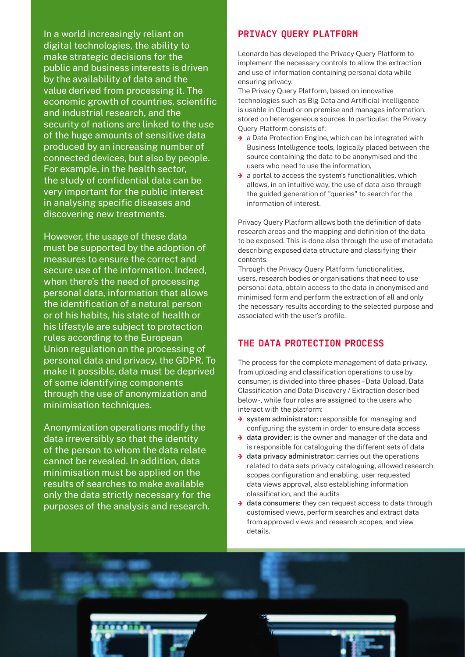In a world increasingly reliant on digital technologies, the ability to make strategic decisions for the public and business interests is driven by the availability of data and the value derived from processing it. The economic growth of countries, scientific and industrial research, and the security of nations are linked to the use of the huge amounts of sensitive data produced by an increasing number of connected devices, but also by people. For example, in the health sector, the study of confidential data can be very important for the public interest in analysing specific diseases and discovering new treatments.

However, the usage of these data must be supported by the adoption of measures to ensure the correct and secure use of the information. Indeed, when there's the need of processing personal data, information that allows the identification of a natural person or of his habits, his state of health or his lifestyle are subject to protection rules according to the European Union regulation on the processing of personal data and privacy, the GDPR. To make it possible, data must be deprived of some identifying components through the use of anonymization and minimisation techniques.

Anonymization operations modify the data irreversibly so that the identity of the person to whom the data relate cannot be revealed. In addition, data minimisation must be applied on the results of searches to make available only the data strictly necessary for the purposes of the analysis and research.

## PRIVACY QUERY PLATFORM

Leonardo has developed the Privacy Query Platform to implement the necessary controls to allow the extraction and use of information containing personal data while ensuring privacy.

The Privacy Query Platform, based on innovative technologies such as Big Data and Artificial Intelligence is usable in Cloud or on premise and manages information. stored on heterogeneous sources. In particular, the Privacy Query Platform consists of:

- $\rightarrow$  a Data Protection Engine, which can be integrated with Business Intelligence tools, logically placed between the source containing the data to be anonymised and the users who need to use the information,
- $\rightarrow$  a portal to access the system's functionalities, which allows, in an intuitive way, the use of data also through the guided generation of "queries" to search for the information of interest.

Privacy Query Platform allows both the definition of data research areas and the mapping and definition of the data to be exposed. This is done also through the use of metadata describing exposed data structure and classifying their contents.

Through the Privacy Query Platform functionalities, users, research bodies or organisations that need to use personal data, obtain access to the data in anonymised and minimised form and perform the extraction of all and only the necessary results according to the selected purpose and associated with the user's profile.

## THE DATA PROTECTION PROCESS

The process for the complete management of data privacy, from uploading and classification operations to use by consumer, is divided into three phases – Data Upload, Data Classification and Data Discovery / Extraction described below -, while four roles are assigned to the users who interact with the platform:

- $\rightarrow$  system administrator: responsible for managing and configuring the system in order to ensure data access
- $\rightarrow$  data provider: is the owner and manager of the data and is responsible for cataloguing the different sets of data
- $\rightarrow$  data privacy administrator: carries out the operations related to data sets privacy cataloguing, allowed research scopes configuration and enabling, user requested data views approval, also establishing information classification, and the audits
- $\rightarrow$  data consumers: they can request access to data through customised views, perform searches and extract data from approved views and research scopes, and view details.

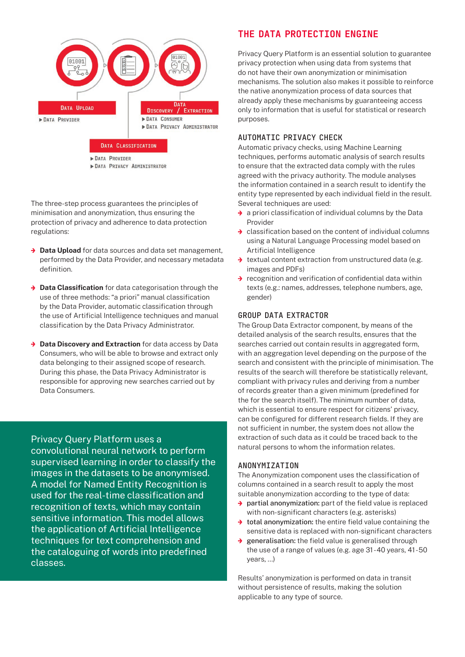

The three-step process guarantees the principles of minimisation and anonymization, thus ensuring the protection of privacy and adherence to data protection regulations:

- ͢ **Data Upload** for data sources and data set management, performed by the Data Provider, and necessary metadata definition.
- ͢ **Data Classification** for data categorisation through the use of three methods: "a priori" manual classification by the Data Provider, automatic classification through the use of Artificial Intelligence techniques and manual classification by the Data Privacy Administrator.
- ͢ **Data Discovery and Extraction** for data access by Data Consumers, who will be able to browse and extract only data belonging to their assigned scope of research. During this phase, the Data Privacy Administrator is responsible for approving new searches carried out by Data Consumers.

Privacy Query Platform uses a convolutional neural network to perform supervised learning in order to classify the images in the datasets to be anonymised. A model for Named Entity Recognition is

used for the real-time classification and recognition of texts, which may contain sensitive information. This model allows the application of Artificial Intelligence techniques for text comprehension and the cataloguing of words into predefined classes.

## THE DATA PROTECTION ENGINE

Privacy Query Platform is an essential solution to guarantee privacy protection when using data from systems that do not have their own anonymization or minimisation mechanisms. The solution also makes it possible to reinforce the native anonymization process of data sources that already apply these mechanisms by guaranteeing access only to information that is useful for statistical or research purposes.

## **AUTOMATIC PRIVACY CHECK**

Automatic privacy checks, using Machine Learning techniques, performs automatic analysis of search results to ensure that the extracted data comply with the rules agreed with the privacy authority. The module analyses the information contained in a search result to identify the entity type represented by each individual field in the result. Several techniques are used:

- $\rightarrow$  a priori classification of individual columns by the Data Provider
- $\rightarrow$  classification based on the content of individual columns using a Natural Language Processing model based on Artificial Intelligence
- $\rightarrow$  textual content extraction from unstructured data (e.g. images and PDFs)
- $\rightarrow$  recognition and verification of confidential data within texts (e.g.: names, addresses, telephone numbers, age, gender)

#### **GROUP DATA EXTRACTOR**

The Group Data Extractor component, by means of the detailed analysis of the search results, ensures that the searches carried out contain results in aggregated form, with an aggregation level depending on the purpose of the search and consistent with the principle of minimisation. The results of the search will therefore be statistically relevant, compliant with privacy rules and deriving from a number of records greater than a given minimum (predefined for the for the search itself). The minimum number of data, which is essential to ensure respect for citizens' privacy, can be configured for different research fields. If they are not sufficient in number, the system does not allow the extraction of such data as it could be traced back to the natural persons to whom the information relates.

#### **ANONYMIZATION**

The Anonymization component uses the classification of columns contained in a search result to apply the most suitable anonymization according to the type of data:

- $\rightarrow$  partial anonymization: part of the field value is replaced with non-significant characters (e.g. asterisks)
- $\rightarrow$  total anonymization: the entire field value containing the sensitive data is replaced with non-significant characters
- $\rightarrow$  generalisation: the field value is generalised through the use of a range of values (e.g. age 31 - 40 years, 41 - 50 years, ...)

Results' anonymization is performed on data in transit without persistence of results, making the solution applicable to any type of source.